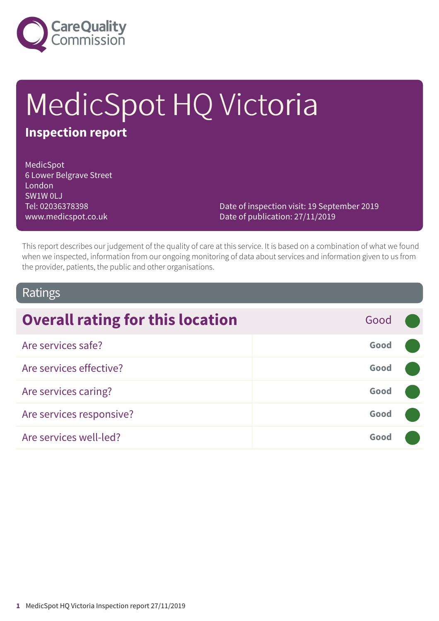

# MedicSpot HQ Victoria **Inspection report**

MedicSpot 6 Lower Belgrave Street London SW1W 0LJ Tel: 02036378398 www.medicspot.co.uk

Date of inspection visit: 19 September 2019 Date of publication: 27/11/2019

This report describes our judgement of the quality of care at this service. It is based on a combination of what we found when we inspected, information from our ongoing monitoring of data about services and information given to us from the provider, patients, the public and other organisations.

### Ratings

| <b>Overall rating for this location</b> | Good |  |
|-----------------------------------------|------|--|
| Are services safe?                      | Good |  |
| Are services effective?                 | Good |  |
| Are services caring?                    | Good |  |
| Are services responsive?                | Good |  |
| Are services well-led?                  | Good |  |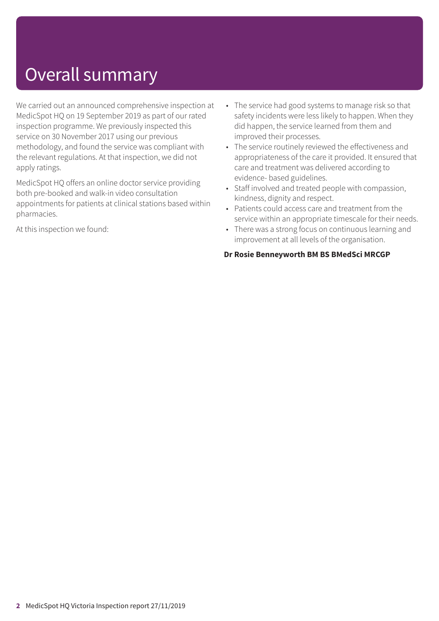## Overall summary

We carried out an announced comprehensive inspection at MedicSpot HQ on 19 September 2019 as part of our rated inspection programme. We previously inspected this service on 30 November 2017 using our previous methodology, and found the service was compliant with the relevant regulations. At that inspection, we did not apply ratings.

MedicSpot HQ offers an online doctor service providing both pre-booked and walk-in video consultation appointments for patients at clinical stations based within pharmacies.

At this inspection we found:

- The service had good systems to manage risk so that safety incidents were less likely to happen. When they did happen, the service learned from them and improved their processes.
- The service routinely reviewed the effectiveness and appropriateness of the care it provided. It ensured that care and treatment was delivered according to evidence- based guidelines.
- Staff involved and treated people with compassion, kindness, dignity and respect.
- Patients could access care and treatment from the service within an appropriate timescale for their needs.
- There was a strong focus on continuous learning and improvement at all levels of the organisation.

#### **Dr Rosie Benneyworth BM BS BMedSci MRCGP**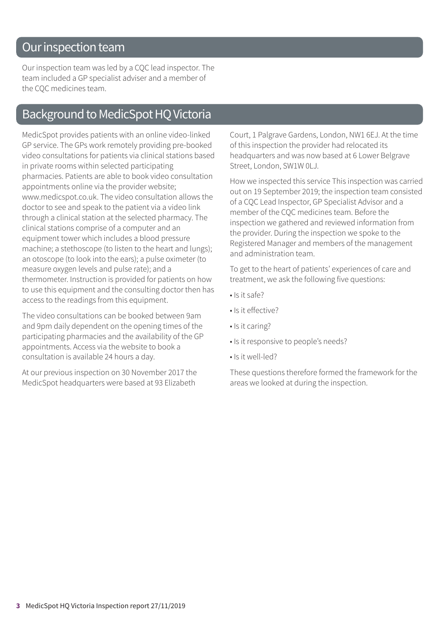### Our inspection team

Our inspection team was led by a CQC lead inspector. The team included a GP specialist adviser and a member of the CQC medicines team.

### Background to MedicSpot HQ Victoria

MedicSpot provides patients with an online video-linked GP service. The GPs work remotely providing pre-booked video consultations for patients via clinical stations based in private rooms within selected participating pharmacies. Patients are able to book video consultation appointments online via the provider website; www.medicspot.co.uk. The video consultation allows the doctor to see and speak to the patient via a video link through a clinical station at the selected pharmacy. The clinical stations comprise of a computer and an equipment tower which includes a blood pressure machine; a stethoscope (to listen to the heart and lungs); an otoscope (to look into the ears); a pulse oximeter (to measure oxygen levels and pulse rate); and a thermometer. Instruction is provided for patients on how to use this equipment and the consulting doctor then has access to the readings from this equipment.

The video consultations can be booked between 9am and 9pm daily dependent on the opening times of the participating pharmacies and the availability of the GP appointments. Access via the website to book a consultation is available 24 hours a day.

At our previous inspection on 30 November 2017 the MedicSpot headquarters were based at 93 Elizabeth

Court, 1 Palgrave Gardens, London, NW1 6EJ. At the time of this inspection the provider had relocated its headquarters and was now based at 6 Lower Belgrave Street, London, SW1W 0LJ.

How we inspected this service This inspection was carried out on 19 September 2019; the inspection team consisted of a CQC Lead Inspector, GP Specialist Advisor and a member of the CQC medicines team. Before the inspection we gathered and reviewed information from the provider. During the inspection we spoke to the Registered Manager and members of the management and administration team.

To get to the heart of patients' experiences of care and treatment, we ask the following five questions:

- Is it safe?
- Is it effective?
- Is it caring?
- Is it responsive to people's needs?
- Is it well-led?

These questions therefore formed the framework for the areas we looked at during the inspection.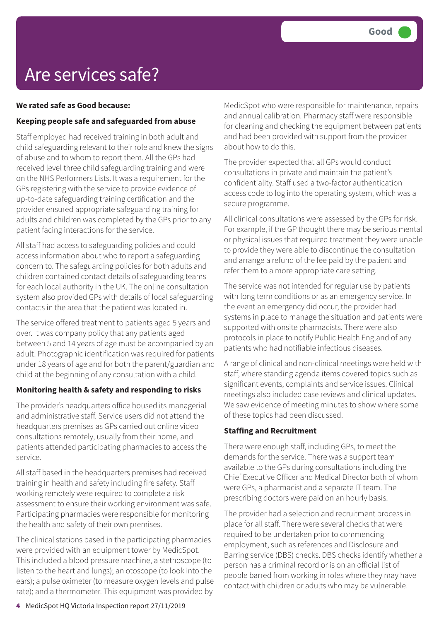### Are services safe?

#### **We rated safe as Good because:**

#### **Keeping people safe and safeguarded from abuse**

Staff employed had received training in both adult and child safeguarding relevant to their role and knew the signs of abuse and to whom to report them. All the GPs had received level three child safeguarding training and were on the NHS Performers Lists. It was a requirement for the GPs registering with the service to provide evidence of up-to-date safeguarding training certification and the provider ensured appropriate safeguarding training for adults and children was completed by the GPs prior to any patient facing interactions for the service.

All staff had access to safeguarding policies and could access information about who to report a safeguarding concern to. The safeguarding policies for both adults and children contained contact details of safeguarding teams for each local authority in the UK. The online consultation system also provided GPs with details of local safeguarding contacts in the area that the patient was located in.

The service offered treatment to patients aged 5 years and over. It was company policy that any patients aged between 5 and 14 years of age must be accompanied by an adult. Photographic identification was required for patients under 18 years of age and for both the parent/guardian and child at the beginning of any consultation with a child.

#### **Monitoring health & safety and responding to risks**

The provider's headquarters office housed its managerial and administrative staff. Service users did not attend the headquarters premises as GPs carried out online video consultations remotely, usually from their home, and patients attended participating pharmacies to access the service.

All staff based in the headquarters premises had received training in health and safety including fire safety. Staff working remotely were required to complete a risk assessment to ensure their working environment was safe. Participating pharmacies were responsible for monitoring the health and safety of their own premises.

The clinical stations based in the participating pharmacies were provided with an equipment tower by MedicSpot. This included a blood pressure machine, a stethoscope (to listen to the heart and lungs); an otoscope (to look into the ears); a pulse oximeter (to measure oxygen levels and pulse rate); and a thermometer. This equipment was provided by

MedicSpot who were responsible for maintenance, repairs and annual calibration. Pharmacy staff were responsible for cleaning and checking the equipment between patients and had been provided with support from the provider about how to do this.

The provider expected that all GPs would conduct consultations in private and maintain the patient's confidentiality. Staff used a two-factor authentication access code to log into the operating system, which was a secure programme.

All clinical consultations were assessed by the GPs for risk. For example, if the GP thought there may be serious mental or physical issues that required treatment they were unable to provide they were able to discontinue the consultation and arrange a refund of the fee paid by the patient and refer them to a more appropriate care setting.

The service was not intended for regular use by patients with long term conditions or as an emergency service. In the event an emergency did occur, the provider had systems in place to manage the situation and patients were supported with onsite pharmacists. There were also protocols in place to notify Public Health England of any patients who had notifiable infectious diseases.

A range of clinical and non-clinical meetings were held with staff, where standing agenda items covered topics such as significant events, complaints and service issues. Clinical meetings also included case reviews and clinical updates. We saw evidence of meeting minutes to show where some of these topics had been discussed.

#### **Staffing and Recruitment**

There were enough staff, including GPs, to meet the demands for the service. There was a support team available to the GPs during consultations including the Chief Executive Officer and Medical Director both of whom were GPs, a pharmacist and a separate IT team. The prescribing doctors were paid on an hourly basis.

The provider had a selection and recruitment process in place for all staff. There were several checks that were required to be undertaken prior to commencing employment, such as references and Disclosure and Barring service (DBS) checks. DBS checks identify whether a person has a criminal record or is on an official list of people barred from working in roles where they may have contact with children or adults who may be vulnerable.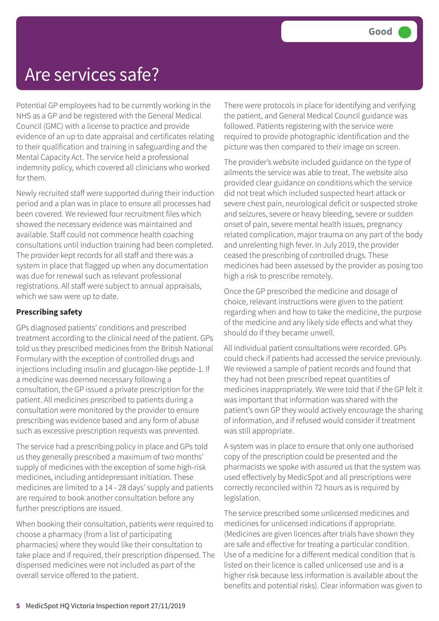### Are services safe?

Potential GP employees had to be currently working in the NHS as a GP and be registered with the General Medical Council (GMC) with a license to practice and provide evidence of an up to date appraisal and certificates relating to their qualification and training in safeguarding and the Mental Capacity Act. The service held a professional indemnity policy, which covered all clinicians who worked for them.

Newly recruited staff were supported during their induction period and a plan was in place to ensure all processes had been covered. We reviewed four recruitment files which showed the necessary evidence was maintained and available. Staff could not commence health coaching consultations until induction training had been completed. The provider kept records for all staff and there was a system in place that flagged up when any documentation was due for renewal such as relevant professional registrations. All staff were subject to annual appraisals, which we saw were up to date.

#### **Prescribing safety**

GPs diagnosed patients' conditions and prescribed treatment according to the clinical need of the patient. GPs told us they prescribed medicines from the British National Formulary with the exception of controlled drugs and injections including insulin and glucagon-like peptide-1. If a medicine was deemed necessary following a consultation, the GP issued a private prescription for the patient. All medicines prescribed to patients during a consultation were monitored by the provider to ensure prescribing was evidence based and any form of abuse such as excessive prescription requests was prevented.

The service had a prescribing policy in place and GPs told us they generally prescribed a maximum of two months' supply of medicines with the exception of some high-risk medicines, including antidepressant initiation. These medicines are limited to a 14 - 28 days' supply and patients are required to book another consultation before any further prescriptions are issued.

When booking their consultation, patients were required to choose a pharmacy (from a list of participating pharmacies) where they would like their consultation to take place and if required, their prescription dispensed. The dispensed medicines were not included as part of the overall service offered to the patient.

There were protocols in place for identifying and verifying the patient, and General Medical Council guidance was followed. Patients registering with the service were required to provide photographic identification and the picture was then compared to their image on screen.

The provider's website included guidance on the type of ailments the service was able to treat. The website also provided clear guidance on conditions which the service did not treat which included suspected heart attack or severe chest pain, neurological deficit or suspected stroke and seizures, severe or heavy bleeding, severe or sudden onset of pain, severe mental health issues, pregnancy related complication, major trauma on any part of the body and unrelenting high fever. In July 2019, the provider ceased the prescribing of controlled drugs. These medicines had been assessed by the provider as posing too high a risk to prescribe remotely.

Once the GP prescribed the medicine and dosage of choice, relevant instructions were given to the patient regarding when and how to take the medicine, the purpose of the medicine and any likely side effects and what they should do if they became unwell.

All individual patient consultations were recorded. GPs could check if patients had accessed the service previously. We reviewed a sample of patient records and found that they had not been prescribed repeat quantities of medicines inappropriately. We were told that if the GP felt it was important that information was shared with the patient's own GP they would actively encourage the sharing of information, and if refused would consider if treatment was still appropriate.

A system was in place to ensure that only one authorised copy of the prescription could be presented and the pharmacists we spoke with assured us that the system was used effectively by MedicSpot and all prescriptions were correctly reconciled within 72 hours as is required by legislation.

The service prescribed some unlicensed medicines and medicines for unlicensed indications if appropriate. (Medicines are given licences after trials have shown they are safe and effective for treating a particular condition. Use of a medicine for a different medical condition that is listed on their licence is called unlicensed use and is a higher risk because less information is available about the benefits and potential risks). Clear information was given to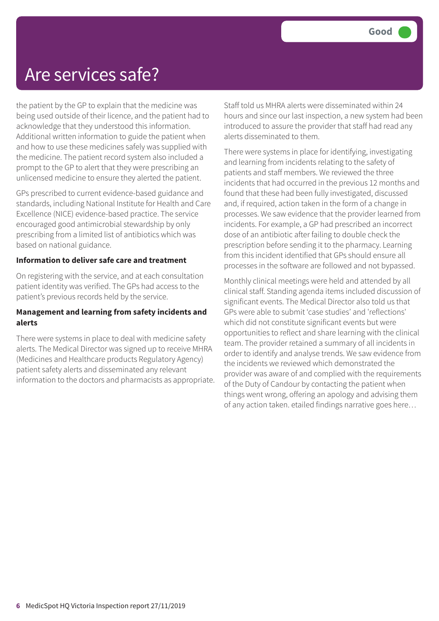### Are services safe?

the patient by the GP to explain that the medicine was being used outside of their licence, and the patient had to acknowledge that they understood this information. Additional written information to guide the patient when and how to use these medicines safely was supplied with the medicine. The patient record system also included a prompt to the GP to alert that they were prescribing an unlicensed medicine to ensure they alerted the patient.

GPs prescribed to current evidence-based guidance and standards, including National Institute for Health and Care Excellence (NICE) evidence-based practice. The service encouraged good antimicrobial stewardship by only prescribing from a limited list of antibiotics which was based on national guidance.

#### **Information to deliver safe care and treatment**

On registering with the service, and at each consultation patient identity was verified. The GPs had access to the patient's previous records held by the service.

#### **Management and learning from safety incidents and alerts**

There were systems in place to deal with medicine safety alerts. The Medical Director was signed up to receive MHRA (Medicines and Healthcare products Regulatory Agency) patient safety alerts and disseminated any relevant information to the doctors and pharmacists as appropriate. Staff told us MHRA alerts were disseminated within 24 hours and since our last inspection, a new system had been introduced to assure the provider that staff had read any alerts disseminated to them.

There were systems in place for identifying, investigating and learning from incidents relating to the safety of patients and staff members. We reviewed the three incidents that had occurred in the previous 12 months and found that these had been fully investigated, discussed and, if required, action taken in the form of a change in processes. We saw evidence that the provider learned from incidents. For example, a GP had prescribed an incorrect dose of an antibiotic after failing to double check the prescription before sending it to the pharmacy. Learning from this incident identified that GPs should ensure all processes in the software are followed and not bypassed.

Monthly clinical meetings were held and attended by all clinical staff. Standing agenda items included discussion of significant events. The Medical Director also told us that GPs were able to submit 'case studies' and 'reflections' which did not constitute significant events but were opportunities to reflect and share learning with the clinical team. The provider retained a summary of all incidents in order to identify and analyse trends. We saw evidence from the incidents we reviewed which demonstrated the provider was aware of and complied with the requirements of the Duty of Candour by contacting the patient when things went wrong, offering an apology and advising them of any action taken. etailed findings narrative goes here…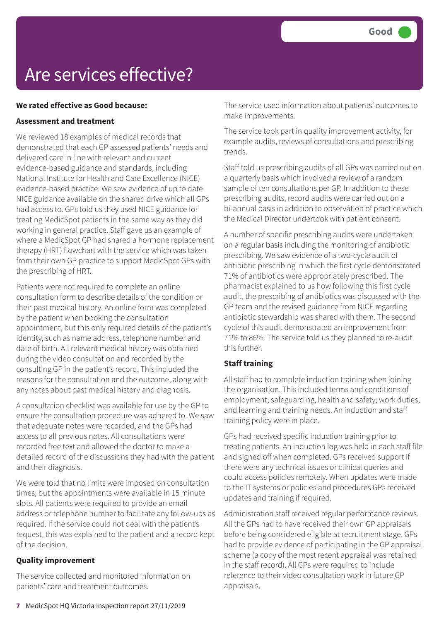## Are services effective?

#### **We rated effective as Good because:**

#### **Assessment and treatment**

We reviewed 18 examples of medical records that demonstrated that each GP assessed patients' needs and delivered care in line with relevant and current evidence-based guidance and standards, including National Institute for Health and Care Excellence (NICE) evidence-based practice. We saw evidence of up to date NICE guidance available on the shared drive which all GPs had access to. GPs told us they used NICE guidance for treating MedicSpot patients in the same way as they did working in general practice. Staff gave us an example of where a MedicSpot GP had shared a hormone replacement therapy (HRT) flowchart with the service which was taken from their own GP practice to support MedicSpot GPs with the prescribing of HRT.

Patients were not required to complete an online consultation form to describe details of the condition or their past medical history. An online form was completed by the patient when booking the consultation appointment, but this only required details of the patient's identity, such as name address, telephone number and date of birth. All relevant medical history was obtained during the video consultation and recorded by the consulting GP in the patient's record. This included the reasons for the consultation and the outcome, along with any notes about past medical history and diagnosis.

A consultation checklist was available for use by the GP to ensure the consultation procedure was adhered to. We saw that adequate notes were recorded, and the GPs had access to all previous notes. All consultations were recorded free text and allowed the doctor to make a detailed record of the discussions they had with the patient and their diagnosis.

We were told that no limits were imposed on consultation times, but the appointments were available in 15 minute slots. All patients were required to provide an email address or telephone number to facilitate any follow-ups as required. If the service could not deal with the patient's request, this was explained to the patient and a record kept of the decision.

#### **Quality improvement**

The service collected and monitored information on patients' care and treatment outcomes.

The service used information about patients' outcomes to make improvements.

The service took part in quality improvement activity, for example audits, reviews of consultations and prescribing trends.

Staff told us prescribing audits of all GPs was carried out on a quarterly basis which involved a review of a random sample of ten consultations per GP. In addition to these prescribing audits, record audits were carried out on a bi-annual basis in addition to observation of practice which the Medical Director undertook with patient consent.

A number of specific prescribing audits were undertaken on a regular basis including the monitoring of antibiotic prescribing. We saw evidence of a two-cycle audit of antibiotic prescribing in which the first cycle demonstrated 71% of antibiotics were appropriately prescribed. The pharmacist explained to us how following this first cycle audit, the prescribing of antibiotics was discussed with the GP team and the revised guidance from NICE regarding antibiotic stewardship was shared with them. The second cycle of this audit demonstrated an improvement from 71% to 86%. The service told us they planned to re-audit this further.

#### **Staff training**

All staff had to complete induction training when joining the organisation. This included terms and conditions of employment; safeguarding, health and safety; work duties; and learning and training needs. An induction and staff training policy were in place.

GPs had received specific induction training prior to treating patients. An induction log was held in each staff file and signed off when completed. GPs received support if there were any technical issues or clinical queries and could access policies remotely. When updates were made to the IT systems or policies and procedures GPs received updates and training if required.

Administration staff received regular performance reviews. All the GPs had to have received their own GP appraisals before being considered eligible at recruitment stage. GPs had to provide evidence of participating in the GP appraisal scheme (a copy of the most recent appraisal was retained in the staff record). All GPs were required to include reference to their video consultation work in future GP appraisals.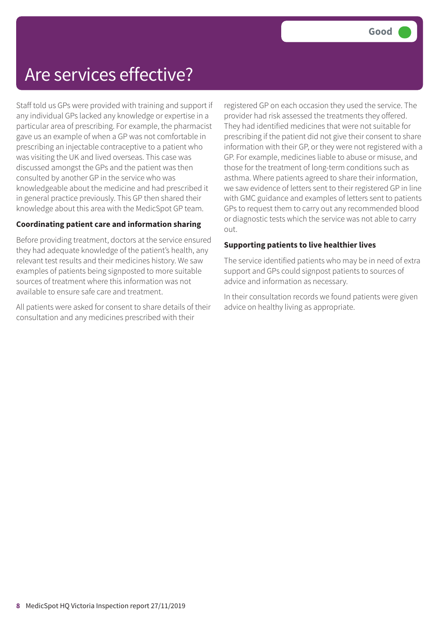### Are services effective?

Staff told us GPs were provided with training and support if any individual GPs lacked any knowledge or expertise in a particular area of prescribing. For example, the pharmacist gave us an example of when a GP was not comfortable in prescribing an injectable contraceptive to a patient who was visiting the UK and lived overseas. This case was discussed amongst the GPs and the patient was then consulted by another GP in the service who was knowledgeable about the medicine and had prescribed it in general practice previously. This GP then shared their knowledge about this area with the MedicSpot GP team.

#### **Coordinating patient care and information sharing**

Before providing treatment, doctors at the service ensured they had adequate knowledge of the patient's health, any relevant test results and their medicines history. We saw examples of patients being signposted to more suitable sources of treatment where this information was not available to ensure safe care and treatment.

All patients were asked for consent to share details of their consultation and any medicines prescribed with their

registered GP on each occasion they used the service. The provider had risk assessed the treatments they offered. They had identified medicines that were not suitable for prescribing if the patient did not give their consent to share information with their GP, or they were not registered with a GP. For example, medicines liable to abuse or misuse, and those for the treatment of long-term conditions such as asthma. Where patients agreed to share their information, we saw evidence of letters sent to their registered GP in line with GMC guidance and examples of letters sent to patients GPs to request them to carry out any recommended blood or diagnostic tests which the service was not able to carry out.

#### **Supporting patients to live healthier lives**

The service identified patients who may be in need of extra support and GPs could signpost patients to sources of advice and information as necessary.

In their consultation records we found patients were given advice on healthy living as appropriate.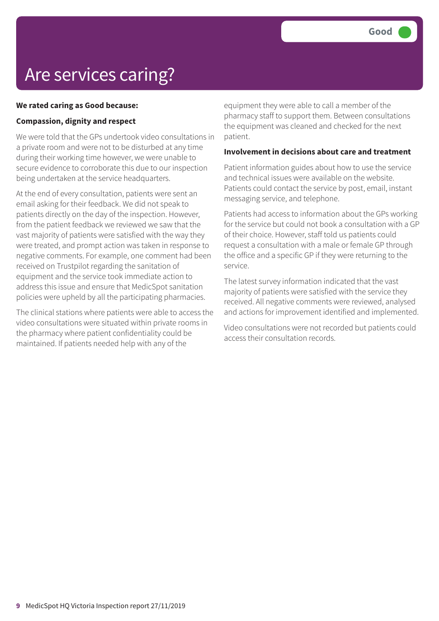## Are services caring?

#### **We rated caring as Good because:**

#### **Compassion, dignity and respect**

We were told that the GPs undertook video consultations in a private room and were not to be disturbed at any time during their working time however, we were unable to secure evidence to corroborate this due to our inspection being undertaken at the service headquarters.

At the end of every consultation, patients were sent an email asking for their feedback. We did not speak to patients directly on the day of the inspection. However, from the patient feedback we reviewed we saw that the vast majority of patients were satisfied with the way they were treated, and prompt action was taken in response to negative comments. For example, one comment had been received on Trustpilot regarding the sanitation of equipment and the service took immediate action to address this issue and ensure that MedicSpot sanitation policies were upheld by all the participating pharmacies.

The clinical stations where patients were able to access the video consultations were situated within private rooms in the pharmacy where patient confidentiality could be maintained. If patients needed help with any of the

equipment they were able to call a member of the pharmacy staff to support them. Between consultations the equipment was cleaned and checked for the next patient.

#### **Involvement in decisions about care and treatment**

Patient information guides about how to use the service and technical issues were available on the website. Patients could contact the service by post, email, instant messaging service, and telephone.

Patients had access to information about the GPs working for the service but could not book a consultation with a GP of their choice. However, staff told us patients could request a consultation with a male or female GP through the office and a specific GP if they were returning to the service.

The latest survey information indicated that the vast majority of patients were satisfied with the service they received. All negative comments were reviewed, analysed and actions for improvement identified and implemented.

Video consultations were not recorded but patients could access their consultation records.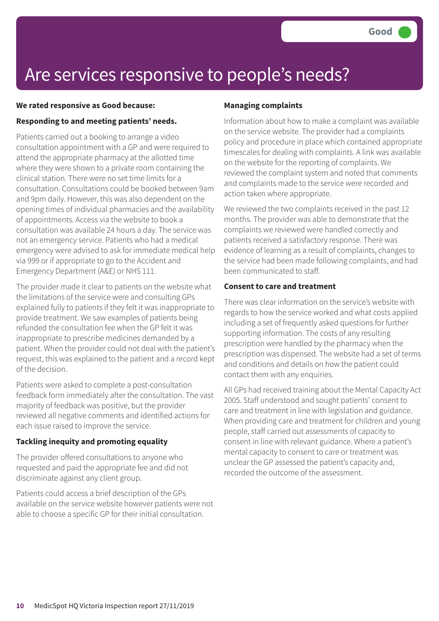### Are services responsive to people's needs?

#### **We rated responsive as Good because:**

#### **Responding to and meeting patients' needs.**

Patients carried out a booking to arrange a video consultation appointment with a GP and were required to attend the appropriate pharmacy at the allotted time where they were shown to a private room containing the clinical station. There were no set time limits for a consultation. Consultations could be booked between 9am and 9pm daily. However, this was also dependent on the opening times of individual pharmacies and the availability of appointments. Access via the website to book a consultation was available 24 hours a day. The service was not an emergency service. Patients who had a medical emergency were advised to ask for immediate medical help via 999 or if appropriate to go to the Accident and Emergency Department (A&E) or NHS 111.

The provider made it clear to patients on the website what the limitations of the service were and consulting GPs explained fully to patients if they felt it was inappropriate to provide treatment. We saw examples of patients being refunded the consultation fee when the GP felt it was inappropriate to prescribe medicines demanded by a patient. When the provider could not deal with the patient's request, this was explained to the patient and a record kept of the decision.

Patients were asked to complete a post-consultation feedback form immediately after the consultation. The vast majority of feedback was positive, but the provider reviewed all negative comments and identified actions for each issue raised to improve the service.

#### **Tackling inequity and promoting equality**

The provider offered consultations to anyone who requested and paid the appropriate fee and did not discriminate against any client group.

Patients could access a brief description of the GPs available on the service website however patients were not able to choose a specific GP for their initial consultation.

#### **Managing complaints**

Information about how to make a complaint was available on the service website. The provider had a complaints policy and procedure in place which contained appropriate timescales for dealing with complaints. A link was available on the website for the reporting of complaints. We reviewed the complaint system and noted that comments and complaints made to the service were recorded and action taken where appropriate.

We reviewed the two complaints received in the past 12 months. The provider was able to demonstrate that the complaints we reviewed were handled correctly and patients received a satisfactory response. There was evidence of learning as a result of complaints, changes to the service had been made following complaints, and had been communicated to staff.

#### **Consent to care and treatment**

There was clear information on the service's website with regards to how the service worked and what costs applied including a set of frequently asked questions for further supporting information. The costs of any resulting prescription were handled by the pharmacy when the prescription was dispensed. The website had a set of terms and conditions and details on how the patient could contact them with any enquiries.

All GPs had received training about the Mental Capacity Act 2005. Staff understood and sought patients' consent to care and treatment in line with legislation and guidance. When providing care and treatment for children and young people, staff carried out assessments of capacity to consent in line with relevant guidance. Where a patient's mental capacity to consent to care or treatment was unclear the GP assessed the patient's capacity and, recorded the outcome of the assessment.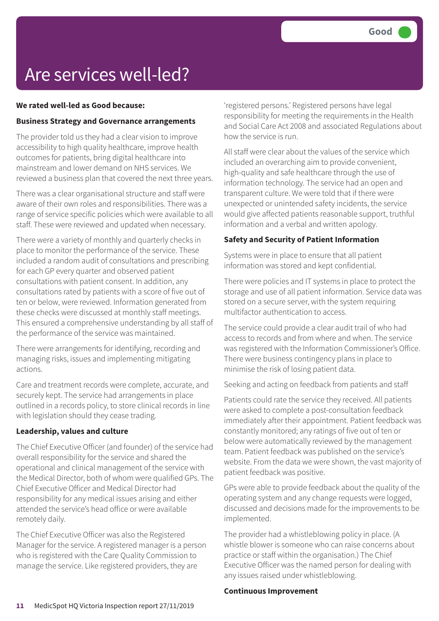## Are services well-led?

#### **We rated well-led as Good because:**

#### **Business Strategy and Governance arrangements**

The provider told us they had a clear vision to improve accessibility to high quality healthcare, improve health outcomes for patients, bring digital healthcare into mainstream and lower demand on NHS services. We reviewed a business plan that covered the next three years.

There was a clear organisational structure and staff were aware of their own roles and responsibilities. There was a range of service specific policies which were available to all staff. These were reviewed and updated when necessary.

There were a variety of monthly and quarterly checks in place to monitor the performance of the service. These included a random audit of consultations and prescribing for each GP every quarter and observed patient consultations with patient consent. In addition, any consultations rated by patients with a score of five out of ten or below, were reviewed. Information generated from these checks were discussed at monthly staff meetings. This ensured a comprehensive understanding by all staff of the performance of the service was maintained.

There were arrangements for identifying, recording and managing risks, issues and implementing mitigating actions.

Care and treatment records were complete, accurate, and securely kept. The service had arrangements in place outlined in a records policy, to store clinical records in line with legislation should they cease trading.

#### **Leadership, values and culture**

The Chief Executive Officer (and founder) of the service had overall responsibility for the service and shared the operational and clinical management of the service with the Medical Director, both of whom were qualified GPs. The Chief Executive Officer and Medical Director had responsibility for any medical issues arising and either attended the service's head office or were available remotely daily.

The Chief Executive Officer was also the Registered Manager for the service. A registered manager is a person who is registered with the Care Quality Commission to manage the service. Like registered providers, they are

'registered persons.' Registered persons have legal responsibility for meeting the requirements in the Health and Social Care Act 2008 and associated Regulations about how the service is run.

All staff were clear about the values of the service which included an overarching aim to provide convenient, high-quality and safe healthcare through the use of information technology. The service had an open and transparent culture. We were told that if there were unexpected or unintended safety incidents, the service would give affected patients reasonable support, truthful information and a verbal and written apology.

#### **Safety and Security of Patient Information**

Systems were in place to ensure that all patient information was stored and kept confidential.

There were policies and IT systems in place to protect the storage and use of all patient information. Service data was stored on a secure server, with the system requiring multifactor authentication to access.

The service could provide a clear audit trail of who had access to records and from where and when. The service was registered with the Information Commissioner's Office. There were business contingency plans in place to minimise the risk of losing patient data.

Seeking and acting on feedback from patients and staff

Patients could rate the service they received. All patients were asked to complete a post-consultation feedback immediately after their appointment. Patient feedback was constantly monitored; any ratings of five out of ten or below were automatically reviewed by the management team. Patient feedback was published on the service's website. From the data we were shown, the vast majority of patient feedback was positive.

GPs were able to provide feedback about the quality of the operating system and any change requests were logged, discussed and decisions made for the improvements to be implemented.

The provider had a whistleblowing policy in place. (A whistle blower is someone who can raise concerns about practice or staff within the organisation.) The Chief Executive Officer was the named person for dealing with any issues raised under whistleblowing.

#### **Continuous Improvement**